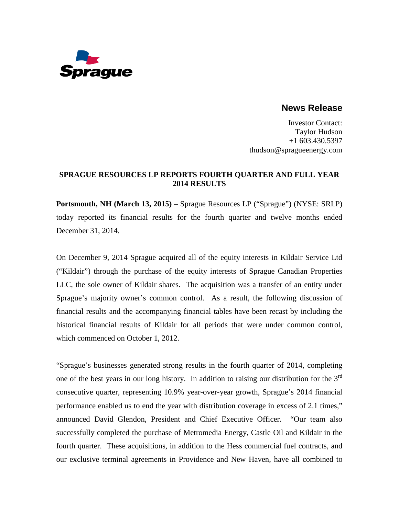

# **News Release**

Investor Contact: Taylor Hudson +1 603.430.5397 thudson@spragueenergy.com

### **SPRAGUE RESOURCES LP REPORTS FOURTH QUARTER AND FULL YEAR 2014 RESULTS**

**Portsmouth, NH (March 13, 2015)** – Sprague Resources LP ("Sprague") (NYSE: SRLP) today reported its financial results for the fourth quarter and twelve months ended December 31, 2014.

On December 9, 2014 Sprague acquired all of the equity interests in Kildair Service Ltd ("Kildair") through the purchase of the equity interests of Sprague Canadian Properties LLC, the sole owner of Kildair shares. The acquisition was a transfer of an entity under Sprague's majority owner's common control. As a result, the following discussion of financial results and the accompanying financial tables have been recast by including the historical financial results of Kildair for all periods that were under common control, which commenced on October 1, 2012.

"Sprague's businesses generated strong results in the fourth quarter of 2014, completing one of the best years in our long history. In addition to raising our distribution for the  $3<sup>rd</sup>$ consecutive quarter, representing 10.9% year-over-year growth, Sprague's 2014 financial performance enabled us to end the year with distribution coverage in excess of 2.1 times," announced David Glendon, President and Chief Executive Officer. "Our team also successfully completed the purchase of Metromedia Energy, Castle Oil and Kildair in the fourth quarter. These acquisitions, in addition to the Hess commercial fuel contracts, and our exclusive terminal agreements in Providence and New Haven, have all combined to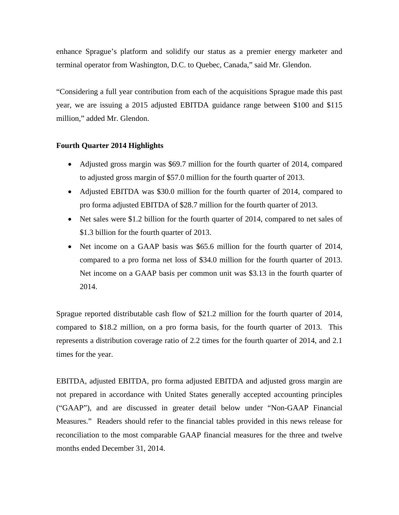enhance Sprague's platform and solidify our status as a premier energy marketer and terminal operator from Washington, D.C. to Quebec, Canada," said Mr. Glendon.

"Considering a full year contribution from each of the acquisitions Sprague made this past year, we are issuing a 2015 adjusted EBITDA guidance range between \$100 and \$115 million," added Mr. Glendon.

### **Fourth Quarter 2014 Highlights**

- Adjusted gross margin was \$69.7 million for the fourth quarter of 2014, compared to adjusted gross margin of \$57.0 million for the fourth quarter of 2013.
- Adjusted EBITDA was \$30.0 million for the fourth quarter of 2014, compared to pro forma adjusted EBITDA of \$28.7 million for the fourth quarter of 2013.
- Net sales were \$1.2 billion for the fourth quarter of 2014, compared to net sales of \$1.3 billion for the fourth quarter of 2013.
- Net income on a GAAP basis was \$65.6 million for the fourth quarter of 2014, compared to a pro forma net loss of \$34.0 million for the fourth quarter of 2013. Net income on a GAAP basis per common unit was \$3.13 in the fourth quarter of 2014.

Sprague reported distributable cash flow of \$21.2 million for the fourth quarter of 2014, compared to \$18.2 million, on a pro forma basis, for the fourth quarter of 2013. This represents a distribution coverage ratio of 2.2 times for the fourth quarter of 2014, and 2.1 times for the year.

EBITDA, adjusted EBITDA, pro forma adjusted EBITDA and adjusted gross margin are not prepared in accordance with United States generally accepted accounting principles ("GAAP"), and are discussed in greater detail below under "Non-GAAP Financial Measures." Readers should refer to the financial tables provided in this news release for reconciliation to the most comparable GAAP financial measures for the three and twelve months ended December 31, 2014.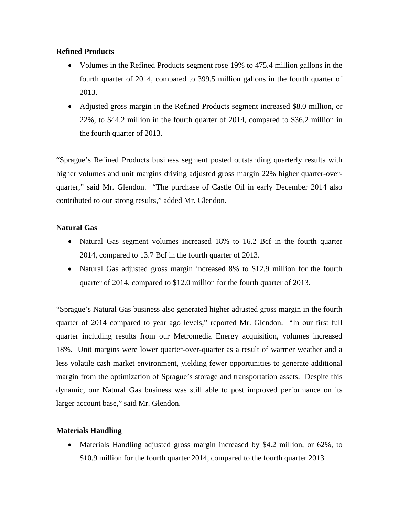### **Refined Products**

- Volumes in the Refined Products segment rose 19% to 475.4 million gallons in the fourth quarter of 2014, compared to 399.5 million gallons in the fourth quarter of 2013.
- Adjusted gross margin in the Refined Products segment increased \$8.0 million, or 22%, to \$44.2 million in the fourth quarter of 2014, compared to \$36.2 million in the fourth quarter of 2013.

"Sprague's Refined Products business segment posted outstanding quarterly results with higher volumes and unit margins driving adjusted gross margin 22% higher quarter-overquarter," said Mr. Glendon. "The purchase of Castle Oil in early December 2014 also contributed to our strong results," added Mr. Glendon.

## **Natural Gas**

- Natural Gas segment volumes increased 18% to 16.2 Bcf in the fourth quarter 2014, compared to 13.7 Bcf in the fourth quarter of 2013.
- Natural Gas adjusted gross margin increased 8% to \$12.9 million for the fourth quarter of 2014, compared to \$12.0 million for the fourth quarter of 2013.

"Sprague's Natural Gas business also generated higher adjusted gross margin in the fourth quarter of 2014 compared to year ago levels," reported Mr. Glendon. "In our first full quarter including results from our Metromedia Energy acquisition, volumes increased 18%. Unit margins were lower quarter-over-quarter as a result of warmer weather and a less volatile cash market environment, yielding fewer opportunities to generate additional margin from the optimization of Sprague's storage and transportation assets. Despite this dynamic, our Natural Gas business was still able to post improved performance on its larger account base," said Mr. Glendon.

## **Materials Handling**

• Materials Handling adjusted gross margin increased by \$4.2 million, or 62%, to \$10.9 million for the fourth quarter 2014, compared to the fourth quarter 2013.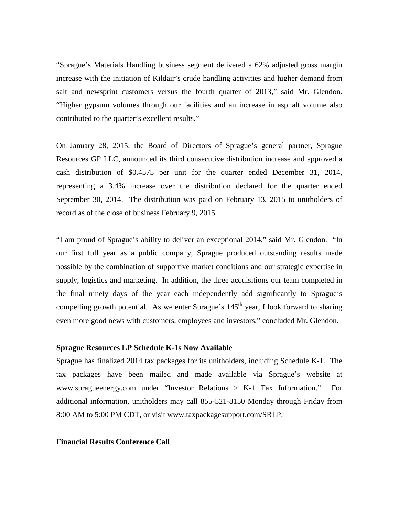"Sprague's Materials Handling business segment delivered a 62% adjusted gross margin increase with the initiation of Kildair's crude handling activities and higher demand from salt and newsprint customers versus the fourth quarter of 2013," said Mr. Glendon. "Higher gypsum volumes through our facilities and an increase in asphalt volume also contributed to the quarter's excellent results."

On January 28, 2015, the Board of Directors of Sprague's general partner, Sprague Resources GP LLC, announced its third consecutive distribution increase and approved a cash distribution of \$0.4575 per unit for the quarter ended December 31, 2014, representing a 3.4% increase over the distribution declared for the quarter ended September 30, 2014. The distribution was paid on February 13, 2015 to unitholders of record as of the close of business February 9, 2015.

"I am proud of Sprague's ability to deliver an exceptional 2014," said Mr. Glendon. "In our first full year as a public company, Sprague produced outstanding results made possible by the combination of supportive market conditions and our strategic expertise in supply, logistics and marketing. In addition, the three acquisitions our team completed in the final ninety days of the year each independently add significantly to Sprague's compelling growth potential. As we enter Sprague's  $145<sup>th</sup>$  year, I look forward to sharing even more good news with customers, employees and investors," concluded Mr. Glendon.

### **Sprague Resources LP Schedule K-1s Now Available**

Sprague has finalized 2014 tax packages for its unitholders, including Schedule K-1. The tax packages have been mailed and made available via Sprague's website at [www.spragueenergy.com](http://www.spragueenergy.com/) under "Investor Relations > K-1 Tax Information." For additional information, unitholders may call 855-521-8150 Monday through Friday from 8:00 AM to 5:00 PM CDT, or visit [www.taxpackagesupport.com/SRLP.](http://www.taxpackagesupport.com/SRLP)

#### **Financial Results Conference Call**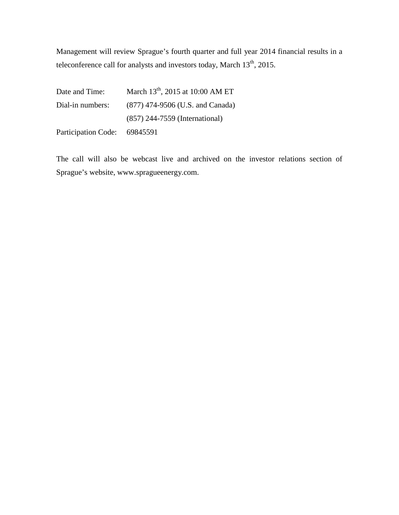Management will review Sprague's fourth quarter and full year 2014 financial results in a teleconference call for analysts and investors today, March 13<sup>th</sup>, 2015.

| Date and Time:               | March $13^{th}$ , 2015 at 10:00 AM ET |
|------------------------------|---------------------------------------|
| Dial-in numbers:             | (877) 474-9506 (U.S. and Canada)      |
|                              | (857) 244-7559 (International)        |
| Participation Code: 69845591 |                                       |

The call will also be webcast live and archived on the investor relations section of Sprague's website, [www.spragueenergy.com.](http://www.spragueenergy.com/)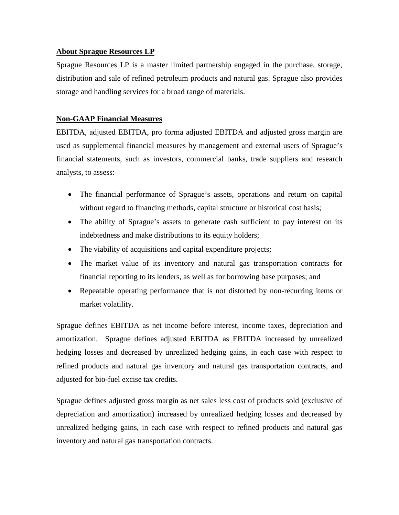## **About Sprague Resources LP**

Sprague Resources LP is a master limited partnership engaged in the purchase, storage, distribution and sale of refined petroleum products and natural gas. Sprague also provides storage and handling services for a broad range of materials.

## **Non-GAAP Financial Measures**

EBITDA, adjusted EBITDA, pro forma adjusted EBITDA and adjusted gross margin are used as supplemental financial measures by management and external users of Sprague's financial statements, such as investors, commercial banks, trade suppliers and research analysts, to assess:

- The financial performance of Sprague's assets, operations and return on capital without regard to financing methods, capital structure or historical cost basis;
- The ability of Sprague's assets to generate cash sufficient to pay interest on its indebtedness and make distributions to its equity holders;
- The viability of acquisitions and capital expenditure projects;
- The market value of its inventory and natural gas transportation contracts for financial reporting to its lenders, as well as for borrowing base purposes; and
- Repeatable operating performance that is not distorted by non-recurring items or market volatility.

Sprague defines EBITDA as net income before interest, income taxes, depreciation and amortization. Sprague defines adjusted EBITDA as EBITDA increased by unrealized hedging losses and decreased by unrealized hedging gains, in each case with respect to refined products and natural gas inventory and natural gas transportation contracts, and adjusted for bio-fuel excise tax credits.

Sprague defines adjusted gross margin as net sales less cost of products sold (exclusive of depreciation and amortization) increased by unrealized hedging losses and decreased by unrealized hedging gains, in each case with respect to refined products and natural gas inventory and natural gas transportation contracts.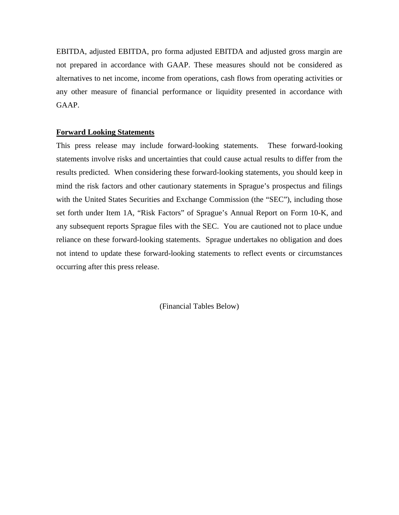EBITDA, adjusted EBITDA, pro forma adjusted EBITDA and adjusted gross margin are not prepared in accordance with GAAP. These measures should not be considered as alternatives to net income, income from operations, cash flows from operating activities or any other measure of financial performance or liquidity presented in accordance with GAAP.

### **Forward Looking Statements**

This press release may include forward-looking statements. These forward-looking statements involve risks and uncertainties that could cause actual results to differ from the results predicted. When considering these forward-looking statements, you should keep in mind the risk factors and other cautionary statements in Sprague's prospectus and filings with the United States Securities and Exchange Commission (the "SEC"), including those set forth under Item 1A, "Risk Factors" of Sprague's Annual Report on Form 10-K, and any subsequent reports Sprague files with the SEC. You are cautioned not to place undue reliance on these forward-looking statements. Sprague undertakes no obligation and does not intend to update these forward-looking statements to reflect events or circumstances occurring after this press release.

(Financial Tables Below)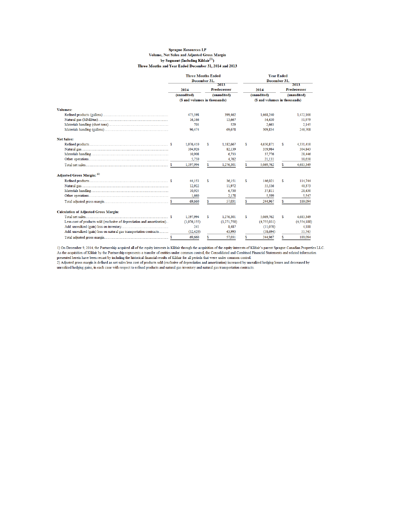#### **Sprague Resources LP** Volume, Net Sales and Adjusted Gross Margin by Segment (Including Kildair<sup>(1)</sup>) Three Months and Year Ended December 31, 2014 and 2013

| December 31.<br>December 31.<br>2013<br>2013<br><b>Predecessor</b><br><b>Predecessor</b><br>2014<br>2014<br>(unaudited)<br>(unaudited)<br>(unaudited)<br>(unaudited)<br>(\$ and volumes in thousands)<br>(\$ and volumes in thousands)<br><b>Volumes:</b><br>475,398<br>399,462<br>1,668,240<br>1,472,100<br>16,166<br>13,667<br>54,430<br>51.979<br>703<br>529<br>2.663<br>2.145<br>309.834<br>246,708<br>96,474<br>69,678<br><b>Net Sales:</b><br>\$<br>1,076,410<br>s<br>1,182,667<br>4.650.871<br>s<br>4,331,410<br>104.926<br>359.984<br>304,843<br>82.139<br>10,908<br>6,733<br>37,776<br>28,446 |
|--------------------------------------------------------------------------------------------------------------------------------------------------------------------------------------------------------------------------------------------------------------------------------------------------------------------------------------------------------------------------------------------------------------------------------------------------------------------------------------------------------------------------------------------------------------------------------------------------------|
|                                                                                                                                                                                                                                                                                                                                                                                                                                                                                                                                                                                                        |
|                                                                                                                                                                                                                                                                                                                                                                                                                                                                                                                                                                                                        |
|                                                                                                                                                                                                                                                                                                                                                                                                                                                                                                                                                                                                        |
|                                                                                                                                                                                                                                                                                                                                                                                                                                                                                                                                                                                                        |
|                                                                                                                                                                                                                                                                                                                                                                                                                                                                                                                                                                                                        |
|                                                                                                                                                                                                                                                                                                                                                                                                                                                                                                                                                                                                        |
|                                                                                                                                                                                                                                                                                                                                                                                                                                                                                                                                                                                                        |
|                                                                                                                                                                                                                                                                                                                                                                                                                                                                                                                                                                                                        |
|                                                                                                                                                                                                                                                                                                                                                                                                                                                                                                                                                                                                        |
|                                                                                                                                                                                                                                                                                                                                                                                                                                                                                                                                                                                                        |
|                                                                                                                                                                                                                                                                                                                                                                                                                                                                                                                                                                                                        |
|                                                                                                                                                                                                                                                                                                                                                                                                                                                                                                                                                                                                        |
|                                                                                                                                                                                                                                                                                                                                                                                                                                                                                                                                                                                                        |
|                                                                                                                                                                                                                                                                                                                                                                                                                                                                                                                                                                                                        |
| 5,750<br>4,762<br>21,131<br>18,650                                                                                                                                                                                                                                                                                                                                                                                                                                                                                                                                                                     |
| 1,197,994<br>\$<br>\$.<br>\$.<br>5,069,762<br>4,683,349<br>1,276,301                                                                                                                                                                                                                                                                                                                                                                                                                                                                                                                                   |
| Adjusted Gross Margin: (2)                                                                                                                                                                                                                                                                                                                                                                                                                                                                                                                                                                             |
| s<br>\$<br>s<br>114,744<br>44.153<br>36,151<br>146,021                                                                                                                                                                                                                                                                                                                                                                                                                                                                                                                                                 |
| 40,373<br>12.922<br>11.972<br>55,536                                                                                                                                                                                                                                                                                                                                                                                                                                                                                                                                                                   |
| 10.925<br>6,730<br>37,811<br>28,430                                                                                                                                                                                                                                                                                                                                                                                                                                                                                                                                                                    |
| 1.660<br>5,599<br>2.178<br>5,547                                                                                                                                                                                                                                                                                                                                                                                                                                                                                                                                                                       |
| 69,660<br>57,031<br>244,967<br>189,094<br>S<br>S<br>s                                                                                                                                                                                                                                                                                                                                                                                                                                                                                                                                                  |
| <b>Calculation of Adjusted Gross Margin:</b>                                                                                                                                                                                                                                                                                                                                                                                                                                                                                                                                                           |
| \$<br>s<br>1,197,994<br>\$<br>4,683,349<br>1,276,301<br>5,069,762                                                                                                                                                                                                                                                                                                                                                                                                                                                                                                                                      |
| Less cost of products sold (exclusive of depreciation and amortization)<br>(1,076,155)<br>(1,271,750)<br>(4,755,031)<br>(4, 554, 188)                                                                                                                                                                                                                                                                                                                                                                                                                                                                  |
| 241<br>8,487<br>(11,070)<br>4,188                                                                                                                                                                                                                                                                                                                                                                                                                                                                                                                                                                      |
| Add: unrealized (gain) loss on natural gas transportation contracts<br>(52, 420)<br>43,993<br>(58, 694)<br>55,745                                                                                                                                                                                                                                                                                                                                                                                                                                                                                      |
| \$.<br>\$.<br>\$.<br>69.660<br>244,967<br>189,094<br>57.031                                                                                                                                                                                                                                                                                                                                                                                                                                                                                                                                            |

1) On December 9, 2014, the Partnership acquired all of the equity interests in Kildair through the acquisition of the equity interests of Kildair's parent Sprague Canadian Properties LLC. As the acquisition of Kildair by the Partnership represents a transfer of entities under common control, the Consolidated and Combined Financial Statements and related information presented herein have been recast by including the historical financial results of Kildair for all periods that were under common control.

2) Adjusted gross margin is defined as net sales less cost of products sold (exclusive of depreciation and amortization) increased by unrealized hedging losses and decreased by unrealized hedging gains, in each case with respect to refined products and natural gas inventory and natural gas transportation contracts.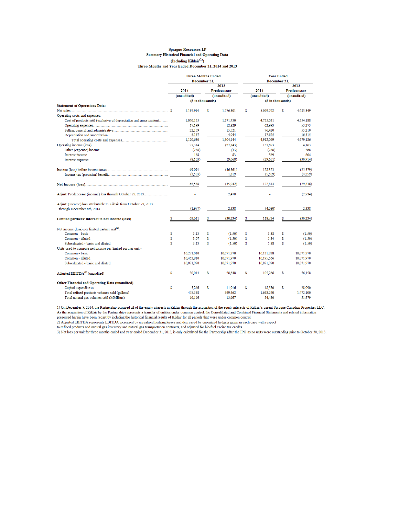#### Sprague Resources LP **Summary Historical Financial and Operating Data** (Including Kildair<sup>(1)</sup>) Three Months and Year Ended December 31, 2014 and 2013

|                                                                     | <b>Three Months Ended</b> |              |                    | <b>Year Ended</b> |             |             |                    |  |  |
|---------------------------------------------------------------------|---------------------------|--------------|--------------------|-------------------|-------------|-------------|--------------------|--|--|
|                                                                     |                           | December 31. |                    | December 31.      |             |             |                    |  |  |
|                                                                     |                           |              | 2013               |                   |             | 2013        |                    |  |  |
|                                                                     | 2014                      |              | <b>Predecessor</b> |                   | 2014        |             | <b>Predecessor</b> |  |  |
|                                                                     | (unaudited)               | (unaudited)  |                    |                   | (unaudited) | (unaudited) |                    |  |  |
|                                                                     | (\$ in thousands)         |              |                    | (\$ in thousands) |             |             |                    |  |  |
| <b>Statement of Operations Data:</b>                                |                           |              |                    |                   |             |             |                    |  |  |
|                                                                     | 1,197,994                 | s            | 1,276,301          | s                 | 5.069.762   | S.          | 4,683,349          |  |  |
| Operating costs and expenses:                                       |                           |              |                    |                   |             |             |                    |  |  |
| Cost of products sold (exclusive of depreciation and amortization)  | 1,076,155                 |              | 1,271,750          |                   | 4,755,031   |             | 4,554,188          |  |  |
|                                                                     | 17,199                    |              | 12,829             |                   | 62.993      |             | 53,273             |  |  |
|                                                                     | 22.159                    |              | 15.521             |                   | 76,420      |             | 55.210             |  |  |
|                                                                     | 5,167                     |              | 4,044              |                   | 17,625      |             | 16,515             |  |  |
|                                                                     | 1,120,680                 |              | 1,304,144          |                   | 4,912,069   |             | 4,679,186          |  |  |
|                                                                     | 77.314                    |              | (27, 843)          |                   | 157.693     |             | 4.163              |  |  |
|                                                                     | (288)                     |              | (33)               |                   | (288)       |             | 568                |  |  |
|                                                                     | 168                       |              | 83                 |                   | 569         |             | 604                |  |  |
|                                                                     | (8, 103)                  |              | (9,068)            |                   | (29, 651)   |             | (30, 914)          |  |  |
|                                                                     |                           |              |                    |                   |             |             |                    |  |  |
|                                                                     | 69,091                    |              | (36, 861)          |                   | 128,323     |             | (25, 579)          |  |  |
|                                                                     | (3,503)                   |              | 1,819              |                   | (5,509)     |             | (4.259)            |  |  |
|                                                                     | 65,588                    |              | (35,042)           |                   | 122,814     |             | (29, 838)          |  |  |
| Adjust: Predecessor (income) loss through October 29, 2013          |                           |              | 2,470              |                   |             |             | (2, 734)           |  |  |
| Adjust: (Income) loss attributable to Kildair from October 29, 2013 |                           |              |                    |                   |             |             |                    |  |  |
|                                                                     | (1.977)                   |              | 2,338              |                   | (4.080)     |             | 2,338              |  |  |
|                                                                     | 63,611                    | \$           | (30, 234)          | S.                | 118,734     | S.          | (30, 234)          |  |  |
| Net income (loss) per limited partner unit <sup>(3)</sup> :         |                           |              |                    |                   |             |             |                    |  |  |
| Common - basic<br>\$                                                | 3.13                      | \$           | (1.50)             | S                 | 5.88        | \$          | (1.50)             |  |  |
| Common - diluted<br>\$.                                             | 3.07                      | \$           | (1.50)             | S                 | 5.84        | Ś           | (1.50)             |  |  |
| \$.<br>Subordinated - basic and diluted                             | 3.13                      | S            | (1.50)             | s                 | 5.88        | s           | (1.50)             |  |  |
| Units used to compute net income per limited partner unit -         |                           |              |                    |                   |             |             |                    |  |  |
| Common - basic                                                      | 10,271,010                |              | 10,071,970         |                   | 10,131,928  |             | 10,071,970         |  |  |
| Common - diluted                                                    | 10,453,910                |              | 10,071,970         |                   | 10.195.566  |             | 10,071,970         |  |  |
| Subordinated - basic and diluted                                    | 10,071,970                |              | 10,071,970         |                   | 10,071,970  |             | 10,071,970         |  |  |
|                                                                     |                           |              |                    |                   |             |             |                    |  |  |
| Adjusted EBITDA <sup>(2)</sup> (unaudited)<br>\$                    | 30,014                    | s            | 28,648             | s                 | 105,266     | s           | 76,158             |  |  |
| <b>Other Financial and Operating Data (unaudited)</b>               |                           |              |                    |                   |             |             |                    |  |  |
| \$<br>Capital expenditures                                          | 5.266                     | S            | 11.016             | S                 | 18.580      | \$          | 28,090             |  |  |
| Total refined products volumes sold (gallons)                       | 475.398                   |              | 399.462            |                   | 1.668.240   |             | 1,472,100          |  |  |
| Total natural gas volumes sold (MMBtus)                             | 16.166                    |              | 13.667             |                   | 54,430      |             | 51,979             |  |  |

1) On December 9, 2014, the Partnership acquired all of the equity interests in Kildair through the acquisition of the equity interests of Kildair's parent Sprague Canadian Properties LLC. 1) On December 9, 2014, the Partnership acquired and of the equiver human transfer of entire states. That in the equivale of the Considerate of Partnership after a parent sprague Canadan Propenes LLC.<br>As the acquisition of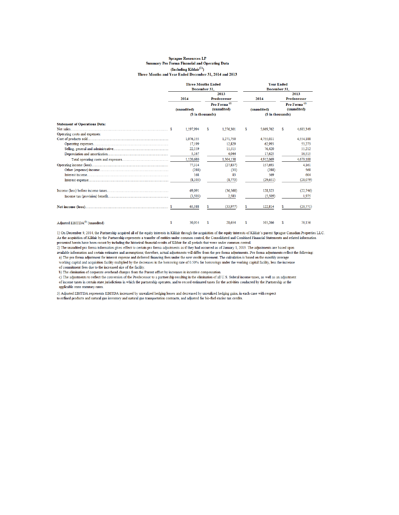#### **Sprague Resources LP** Summary Pro Forma Financial and Operating Data (Including Kildair $^{(1)}$ ) Three Months and Year Ended December 31, 2014 and 2013

|                                            |              | <b>Three Months Ended</b> |                    |                    | <b>Year Ended</b> |              |                                  |                          |  |
|--------------------------------------------|--------------|---------------------------|--------------------|--------------------|-------------------|--------------|----------------------------------|--------------------------|--|
|                                            | December 31. |                           |                    |                    |                   | December 31. |                                  |                          |  |
|                                            |              |                           | 2013               |                    |                   |              | 2013<br><b>Predecessor</b>       |                          |  |
|                                            | 2014         |                           | <b>Predecessor</b> |                    |                   | 2014         |                                  |                          |  |
|                                            |              |                           |                    | Pro Forma $^{(2)}$ |                   |              |                                  | Pro Forma <sup>(2)</sup> |  |
|                                            |              | (unaudited)               |                    | (unaudited)        | (unaudited)       |              | (unaudited)<br>(\$ in thousands) |                          |  |
|                                            |              | (\$ in thousands)         |                    |                    |                   |              |                                  |                          |  |
| <b>Statement of Operations Data:</b>       |              |                           |                    |                    |                   |              |                                  |                          |  |
|                                            |              | 1,197,994                 | s                  | 1.276.301          | \$                | 5,069,762    | \$                               | 4,683,349                |  |
| Operating costs and expenses:              |              |                           |                    |                    |                   |              |                                  |                          |  |
|                                            |              | 1,076,155                 |                    | 1.271.750          |                   | 4.755.031    |                                  | 4.554.188                |  |
|                                            |              | 17.199                    |                    | 12.829             |                   | 62.993       |                                  | 53,273                   |  |
|                                            |              | 22,159                    |                    | 15,515             |                   | 76,420       |                                  | 55.212                   |  |
|                                            |              | 5,167                     |                    | 4,044              |                   | 17,625       |                                  | 16,515                   |  |
|                                            |              | 1,120,680                 |                    | 1,304,138          |                   | 4.912.069    |                                  | 4,679,188                |  |
|                                            |              | 77,314                    |                    | (27.837)           |                   | 157,693      |                                  | 4.161                    |  |
|                                            |              | (288)                     |                    | (33)               |                   | (288)        |                                  | 568                      |  |
|                                            |              | 168                       |                    | 83                 |                   | 569          |                                  | 604                      |  |
|                                            |              | (8,103)                   |                    | (8,773)            |                   | (29, 651)    |                                  | (28,079)                 |  |
|                                            |              | 69,091                    |                    | (36, 560)          |                   | 128.323      |                                  | (22.746)                 |  |
|                                            |              | (3,503)                   |                    | 2,583              |                   | (5, 509)     |                                  | 1,975                    |  |
|                                            |              | 65,588                    |                    | (33,977)           | \$.               | 122,814      |                                  | (20, 771)                |  |
| Adjusted EBITDA <sup>(3)</sup> (unaudited) | S            | 30,014                    | \$                 | 28.654             | \$                | 105.266      | \$                               | 76.156                   |  |

1) On December 9, 2014, the Partnership acquired all of the equity interests in Kildair through the acquisition of the equity interests of Kildair's parent Sprague Canadian Properties LLC.  $\label{thm:main}$  As the acquisition of Kildair by the Partnership represents a transfer of entities under common control, the Consolidated and Combined Financial Statements and related information presented herein have been rec

2) The unaudited pro forma information gives effect to certain pro forma adjustments as if they had occurred as of January 1, 2013. The adjustments are based upon available information and certain estimates and assumptions; therefore, actual adjustments will differ from the pro forma adjustments. Pro forma adjustments reflect the following: a) The pro forma adjustment for interest expense and deferred financing fees under the new credit agreement. The calculation is based on the monthly average working capital and acquisition facility multiplied by the decreases in the borrowing rate of 0.50% for borrowings under the working capital facility, less the increase of commitment fees due to the increased size of the facility.

 $\mathbf b)$  The elimination of corporate overhead charges from the Parent offset by increases in incentive compensation.

c) The adjustments to reflect the conversion of the Predecessor to a partnership resulting in the elimination of all U.S. federal income taxes, as well as an adjustment of income taxes in certain state jurisdictions in which the partnership operates, and to record estimated taxes for the activities conducted by the Partnership at the applicable state statutory rates.

3) Adjusted EBITDA represents EBITDA increased by unrealized hedging losses and decreased by unrealized hedging gains, in each case with respect to refined products and natural gas inventory and natural gas transportation contracts, and adjusted for bio-fuel excise tax credits.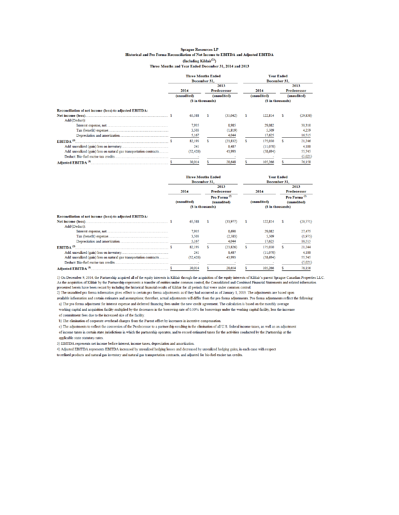#### **Sprague Resources LP** Historical and Pro Forma Reconciliation of Net Income to EBITDA and Adjusted EBITDA (Including Kildair<sup>(1)</sup>) Three Months and Year Ended December 31, 2014 and 2013

|                                                                     | <b>Three Months Ended</b><br>December 31, |           |                                   |                   |                     | <b>Year Ended</b><br>December 31. |                                   |                   |  |
|---------------------------------------------------------------------|-------------------------------------------|-----------|-----------------------------------|-------------------|---------------------|-----------------------------------|-----------------------------------|-------------------|--|
|                                                                     |                                           |           |                                   | 2013              |                     |                                   |                                   | 2013              |  |
|                                                                     | 2014<br>(unaudited)                       |           | <b>Predecessor</b><br>(unaudited) |                   | 2014<br>(unaudited) |                                   | <b>Predecessor</b><br>(unaudited) |                   |  |
|                                                                     |                                           |           |                                   |                   |                     |                                   |                                   |                   |  |
|                                                                     |                                           |           |                                   | (\$ in thousands) |                     |                                   |                                   | (\$ in thousands) |  |
| Reconciliation of net income (loss) to adjusted EBITDA:             |                                           |           |                                   |                   |                     |                                   |                                   |                   |  |
|                                                                     |                                           | 65,588    | s                                 | (35,042)          | s                   | 122.814                           | s.                                | (29, 838)         |  |
| Add/(Deduct):                                                       |                                           |           |                                   |                   |                     |                                   |                                   |                   |  |
|                                                                     |                                           | 7.935     |                                   | 8.985             |                     | 29,082                            |                                   | 30,310            |  |
|                                                                     |                                           | 3.503     |                                   | (1, 819)          |                     | 5.509                             |                                   | 4.259             |  |
|                                                                     |                                           | 5,167     |                                   | 4,044             |                     | 17,625                            |                                   | 16,515            |  |
| EBITDA $^{(3)}$                                                     |                                           | 82,193    | s                                 | (23, 832)         | Ś                   | 175,030                           | S.                                | 21,246            |  |
|                                                                     |                                           | 241       |                                   | 8.487             |                     | (11,070)                          |                                   | 4,188             |  |
| Add: unrealized (gain) loss on natural gas transportation contracts |                                           | (52, 420) |                                   | 43,993            |                     | (58, 694)                         |                                   | 55,745            |  |
|                                                                     |                                           |           |                                   |                   |                     |                                   |                                   | (5,021)           |  |
|                                                                     |                                           | 30.014    |                                   | 28,648            |                     | 105.266                           |                                   | 76,158            |  |

|                                                                     | <b>Three Months Ended</b> |                  |                                                               |           |                     | <b>Year Ended</b> |                                                                       |           |  |  |
|---------------------------------------------------------------------|---------------------------|------------------|---------------------------------------------------------------|-----------|---------------------|-------------------|-----------------------------------------------------------------------|-----------|--|--|
|                                                                     | December 31,              |                  |                                                               |           | December 31,        |                   |                                                                       |           |  |  |
|                                                                     |                           |                  |                                                               | 2013      |                     |                   | 2013<br><b>Predecessor</b><br>Pro Forma <sup>(2)</sup><br>(unaudited) |           |  |  |
|                                                                     | 2014<br>(unaudited)       |                  | <b>Predecessor</b><br>Pro Forma <sup>(2)</sup><br>(unaudited) |           | 2014<br>(unaudited) |                   |                                                                       |           |  |  |
|                                                                     |                           |                  |                                                               |           |                     |                   |                                                                       |           |  |  |
|                                                                     |                           |                  |                                                               |           |                     |                   |                                                                       |           |  |  |
|                                                                     |                           | (S in thousands) |                                                               |           |                     | (S in thousands)  |                                                                       |           |  |  |
| Reconciliation of net income (loss) to adjusted EBITDA:             |                           |                  |                                                               |           |                     |                   |                                                                       |           |  |  |
|                                                                     |                           | 65.588           | s                                                             | (33.977)  | s                   | 122,814           | S                                                                     | (20, 771) |  |  |
| Add/(Deduct):                                                       |                           |                  |                                                               |           |                     |                   |                                                                       |           |  |  |
|                                                                     |                           | 7.935            |                                                               | 8.690     |                     | 29.082            |                                                                       | 27,475    |  |  |
|                                                                     |                           | 3,503            |                                                               | (2.583)   |                     | 5,509             |                                                                       | (1.975)   |  |  |
|                                                                     |                           | 5,167            |                                                               | 4,044     |                     | 17,625            |                                                                       | 16,515    |  |  |
| EBITDA $^{(3)}$                                                     |                           | 82,193           |                                                               | (23, 826) |                     | 175,030           | \$                                                                    | 21.244    |  |  |
|                                                                     |                           | 241              |                                                               | 8,487     |                     | (11.070)          |                                                                       | 4.188     |  |  |
| Add: unrealized (gain) loss on natural gas transportation contracts |                           | (52, 420)        |                                                               | 43,993    |                     | (58, 694)         |                                                                       | 55,745    |  |  |
|                                                                     |                           |                  |                                                               |           |                     |                   |                                                                       | (5,021)   |  |  |
|                                                                     |                           | 30,014           |                                                               | 28,654    |                     | 105,266           |                                                                       | 76,156    |  |  |

1) On December 9, 2014, the Partnership acquired all of the equity interests in Kildair through the acquisition of the equity interests of Kildair's parent Sprague Canadian Properties LLC. As the acquisition of Kildair by the Partnership represents a transfer of entities under common control, the Consolidated and Combined Financial Statements and related information presented herein have been recast by including the historical financial results of Kildair for all periods that were under common control.

2) The unaudited pro forma information gives effect to certain pro forma adjustments as if they had occurred as of January 1, 2013. The adjustments are based upon

available information and certain estimates and assumptions; therefore, actual adjustments will differ from the pro forma adjustments. Pro forma adjustments reflect the following:

a) The pro forma adjustment for interest expense and deferred financing fees under the new credit agreement. The calculation is based on the monthly average working capital and acquisition facility multiplied by the decreases in the borrowing rate of 0.50% for borrowings under the working capital facility, less the increase

of commitment fees due to the increased size of the facility.

 $\,$  b) The elimination of corporate overhead charges from the Parent offset by increases in incentive compensation.

c) The adjustments to reflect the conversion of the Predecessor to a partnership resulting in the elimination of all U.S. federal income taxes, as well as an adjustment of income taxes in certain state jurisdictions in which the partnership operates, and to record estimated taxes for the activities conducted by the Partnership at the applicable state statutory rates.

3) EBITDA represents net income before interest, income taxes, depreciation and amortization.

4) Adjusted EBITDA represents EBITDA increased by unrealized hedging losses and decreased by unrealized hedging gains, in each case with respect

to refined products and natural gas inventory and natural gas transportation contracts, and adjusted for bio-fuel excise tax credits.